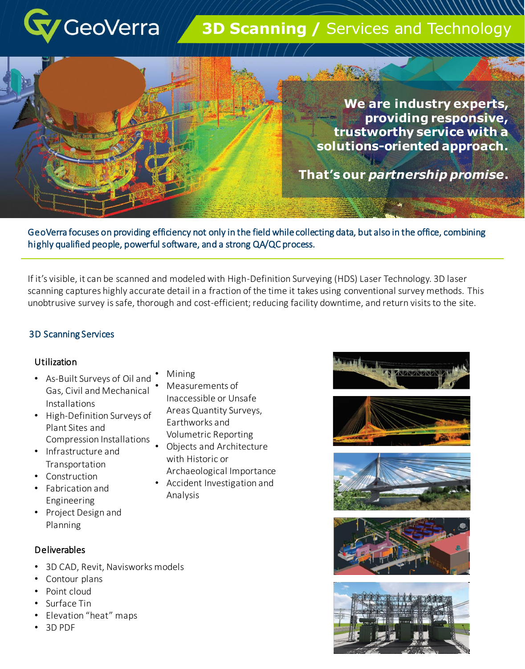

# **3D Scanning / Services and Technology**

**We are industry experts, providing responsive, trustworthy service with a solutions-oriented approach.** 

### **That's our** *partnership promise***.**

GeoVerra focuses on providing efficiency not only in the field while collecting data, but also in the office, combining highly qualified people, powerful software, and a strong QA/QC process.

If it's visible, it can be scanned and modeled with High-Definition Surveying (HDS) Laser Technology. 3D laser scanning captures highly accurate detail in a fraction of the time it takes using conventional survey methods. This unobtrusive survey is safe, thorough and cost-efficient; reducing facility downtime, and return visits to the site.

#### 3D Scanning Services

#### Utilization

- As-Built Surveys of Oil and Gas, Civil and Mechanical Installations
- High-Definition Surveys of Plant Sites and Compression Installations
- Infrastructure and Transportation
- Construction
- Fabrication and Engineering
- Project Design and Planning

#### Deliverables

- 3D CAD, Revit, Navisworks models
- Contour plans
- Point cloud
- Surface Tin
- Elevation "heat" maps
- 3D PDF
- Mining
	- Measurements of Inaccessible or Unsafe Areas Quantity Surveys, Earthworks and Volumetric Reporting
- Objects and Architecture with Historic or Archaeological Importance
- Accident Investigation and Analysis